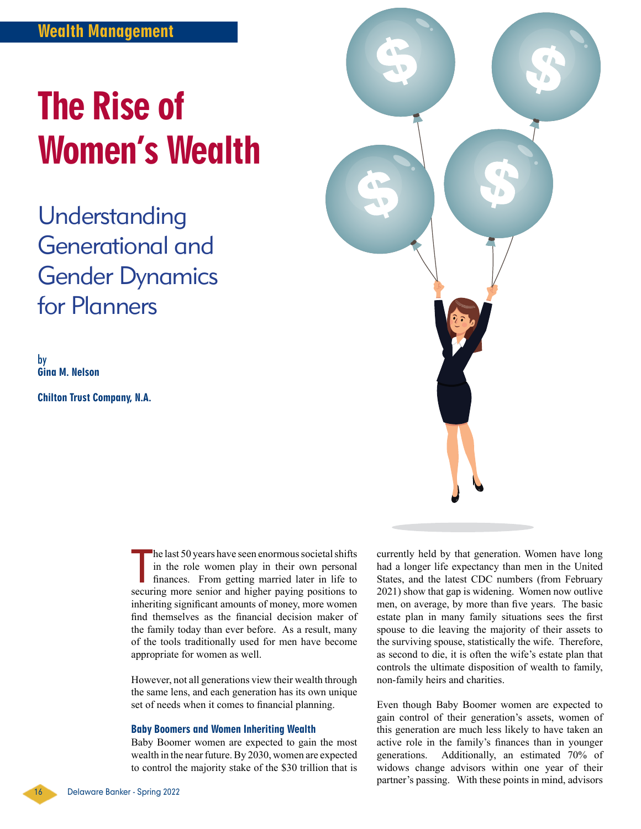# The Rise of Women's Wealth

Understanding Generational and Gender Dynamics for Planners

by Gina M. Nelson

Chilton Trust Company, N.A.

T he last 50 years have seen enormous societal shifts in the role women play in their own personal finances. From getting married later in life to securing more senior and higher paying positions to inheriting significant amounts of money, more women find themselves as the financial decision maker of the family today than ever before. As a result, many of the tools traditionally used for men have become appropriate for women as well.

However, not all generations view their wealth through the same lens, and each generation has its own unique set of needs when it comes to financial planning.

#### Baby Boomers and Women Inheriting Wealth

Baby Boomer women are expected to gain the most wealth in the near future. By 2030, women are expected to control the majority stake of the \$30 trillion that is currently held by that generation. Women have long had a longer life expectancy than men in the United States, and the latest CDC numbers (from February 2021) show that gap is widening. Women now outlive men, on average, by more than five years. The basic estate plan in many family situations sees the first spouse to die leaving the majority of their assets to the surviving spouse, statistically the wife. Therefore, as second to die, it is often the wife's estate plan that controls the ultimate disposition of wealth to family, non-family heirs and charities.

Even though Baby Boomer women are expected to gain control of their generation's assets, women of this generation are much less likely to have taken an active role in the family's finances than in younger generations. Additionally, an estimated 70% of widows change advisors within one year of their partner's passing. With these points in mind, advisors

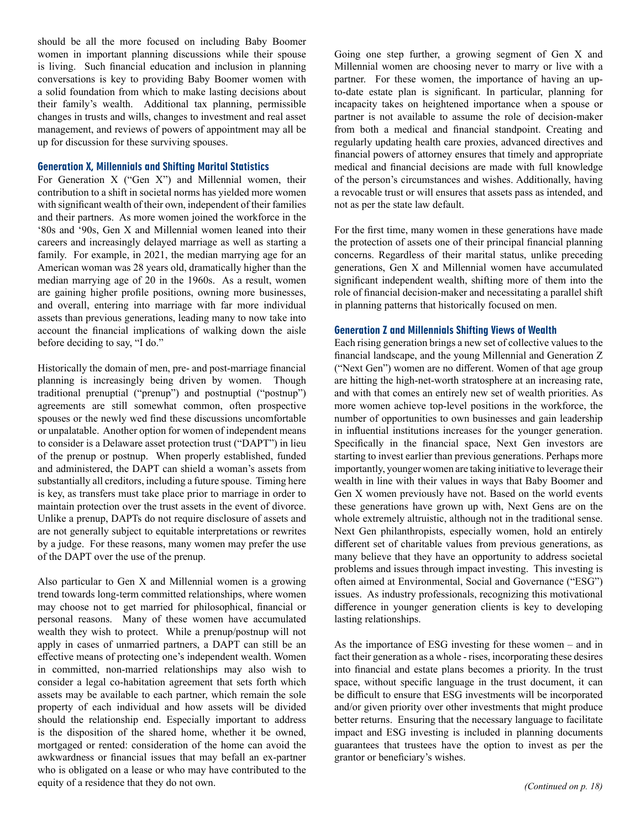should be all the more focused on including Baby Boomer women in important planning discussions while their spouse is living. Such financial education and inclusion in planning conversations is key to providing Baby Boomer women with a solid foundation from which to make lasting decisions about their family's wealth. Additional tax planning, permissible changes in trusts and wills, changes to investment and real asset management, and reviews of powers of appointment may all be up for discussion for these surviving spouses.

## Generation X, Millennials and Shifting Marital Statistics

For Generation X ("Gen X") and Millennial women, their contribution to a shift in societal norms has yielded more women with significant wealth of their own, independent of their families and their partners. As more women joined the workforce in the '80s and '90s, Gen X and Millennial women leaned into their careers and increasingly delayed marriage as well as starting a family. For example, in 2021, the median marrying age for an American woman was 28 years old, dramatically higher than the median marrying age of 20 in the 1960s. As a result, women are gaining higher profile positions, owning more businesses, and overall, entering into marriage with far more individual assets than previous generations, leading many to now take into account the financial implications of walking down the aisle before deciding to say, "I do."

Historically the domain of men, pre- and post-marriage financial planning is increasingly being driven by women. Though traditional prenuptial ("prenup") and postnuptial ("postnup") agreements are still somewhat common, often prospective spouses or the newly wed find these discussions uncomfortable or unpalatable. Another option for women of independent means to consider is a Delaware asset protection trust ("DAPT") in lieu of the prenup or postnup. When properly established, funded and administered, the DAPT can shield a woman's assets from substantially all creditors, including a future spouse. Timing here is key, as transfers must take place prior to marriage in order to maintain protection over the trust assets in the event of divorce. Unlike a prenup, DAPTs do not require disclosure of assets and are not generally subject to equitable interpretations or rewrites by a judge. For these reasons, many women may prefer the use of the DAPT over the use of the prenup.

Also particular to Gen X and Millennial women is a growing trend towards long-term committed relationships, where women may choose not to get married for philosophical, financial or personal reasons. Many of these women have accumulated wealth they wish to protect. While a prenup/postnup will not apply in cases of unmarried partners, a DAPT can still be an effective means of protecting one's independent wealth. Women in committed, non-married relationships may also wish to consider a legal co-habitation agreement that sets forth which assets may be available to each partner, which remain the sole property of each individual and how assets will be divided should the relationship end. Especially important to address is the disposition of the shared home, whether it be owned, mortgaged or rented: consideration of the home can avoid the awkwardness or financial issues that may befall an ex-partner who is obligated on a lease or who may have contributed to the equity of a residence that they do not own. *(Continued on p. 18) (Continued on p. 18)* 

Going one step further, a growing segment of Gen X and Millennial women are choosing never to marry or live with a partner. For these women, the importance of having an upto-date estate plan is significant. In particular, planning for incapacity takes on heightened importance when a spouse or partner is not available to assume the role of decision-maker from both a medical and financial standpoint. Creating and regularly updating health care proxies, advanced directives and financial powers of attorney ensures that timely and appropriate medical and financial decisions are made with full knowledge of the person's circumstances and wishes. Additionally, having a revocable trust or will ensures that assets pass as intended, and not as per the state law default.

For the first time, many women in these generations have made the protection of assets one of their principal financial planning concerns. Regardless of their marital status, unlike preceding generations, Gen X and Millennial women have accumulated significant independent wealth, shifting more of them into the role of financial decision-maker and necessitating a parallel shift in planning patterns that historically focused on men.

### Generation Z and Millennials Shifting Views of Wealth

Each rising generation brings a new set of collective values to the financial landscape, and the young Millennial and Generation Z ("Next Gen") women are no different. Women of that age group are hitting the high-net-worth stratosphere at an increasing rate, and with that comes an entirely new set of wealth priorities. As more women achieve top-level positions in the workforce, the number of opportunities to own businesses and gain leadership in influential institutions increases for the younger generation. Specifically in the financial space, Next Gen investors are starting to invest earlier than previous generations. Perhaps more importantly, younger women are taking initiative to leverage their wealth in line with their values in ways that Baby Boomer and Gen X women previously have not. Based on the world events these generations have grown up with, Next Gens are on the whole extremely altruistic, although not in the traditional sense. Next Gen philanthropists, especially women, hold an entirely different set of charitable values from previous generations, as many believe that they have an opportunity to address societal problems and issues through impact investing. This investing is often aimed at Environmental, Social and Governance ("ESG") issues. As industry professionals, recognizing this motivational difference in younger generation clients is key to developing lasting relationships.

As the importance of ESG investing for these women – and in fact their generation as a whole - rises, incorporating these desires into financial and estate plans becomes a priority. In the trust space, without specific language in the trust document, it can be difficult to ensure that ESG investments will be incorporated and/or given priority over other investments that might produce better returns. Ensuring that the necessary language to facilitate impact and ESG investing is included in planning documents guarantees that trustees have the option to invest as per the grantor or beneficiary's wishes.